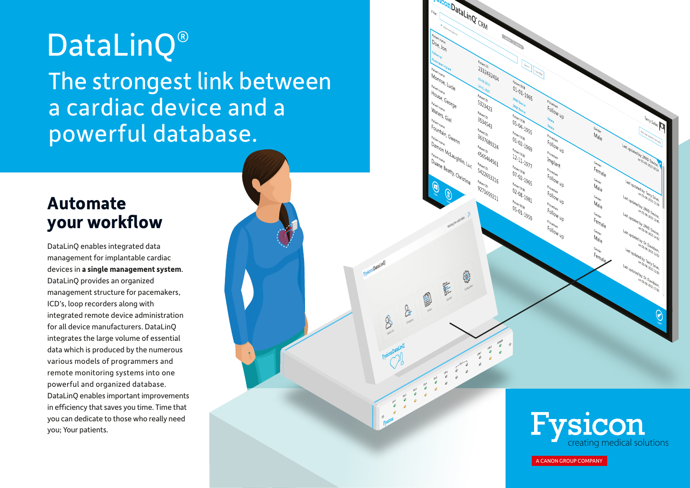# DataLinQ®

The strongest link between a cardiac device and a powerful database.

### **Automate your workflow**

DataLinQ enables integrated data management for implantable cardiac devices in **a single management system**. DataLinQ provides an organized management structure for pacemakers, ICD's, loop recorders along with integrated remote device administration for all device manufacturers. DataLinQ integrates the large volume of essential data which is produced by the numerous various models of programmers and remote monitoring systems into one powerful and organized database. DataLinQ enables important improvements in efficiency that saves you time. Time that you can dedicate to those who really need you; Your patients.

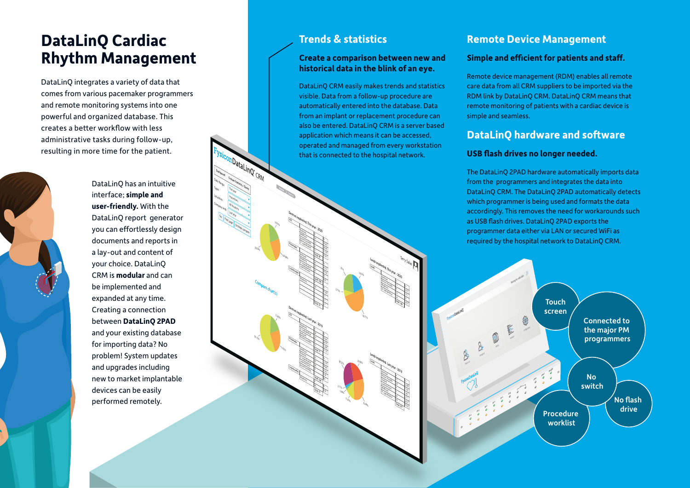### **DataLinQ Cardiac Rhythm Management**

DataLinQ integrates a variety of data that comes from various pacemaker programmers and remote monitoring systems into one powerful and organized database. This creates a better workflow with less administrative tasks during follow-up, resulting in more time for the patient.

> DataLinQ has an intuitive interface; **simple and user-friendly.** With the DataLinQ report generator you can effortlessly design documents and reports in a lay-out and content of your choice. DataLinQ CRM is **modular** and can be implemented and expanded at any time. Creating a connection between **DataLinQ 2PAD** and your existing database for importing data? No problem! System updates and upgrades including new to market implantable devices can be easily performed remotely.

Date Range This year Lo<sub>cations</sub>

**Dashboard**

Topic

**All locations** 

**Print page** 

Un hide compare

**Compare chart(s)**

56.54%

59.15%

19.37%

24.08%

 $c_{\lambda}$ 

St. Jude Medical Boston Scientic  $\mathcal{A}$ Biotronik 14

Livanova/Sorin St. Jude Medical  $\mathcal{A}$ Biotronik

Medtronic

Boston Scientific Biotronik St. Jude Medical  $\mathcal{M}_\ell$ 

Livanova/Sorin St. Jude Medical Biotronik  $\mathcal{M}_\mathcal{H}$ 

Boston Scientic

Medtronic 45 **Total: 37** <sup>100</sup> # % **Looprecorder**

**ISLAND AND THE LAST YEAR - 2019** 

**Devices implanted. Last year - 2019**

*ISLAMENT THIS YEAR - 2020* 

**Devices implanted. This year - 2020**

23.91 **Total: 46** 17.39 28.26 30.43

2.7 **Total: 37** 2.7 2.7 91.89 # % **Looprecorder**

 $15.85\%$   $50.71\%$   $50.71\%$ 

21.13 **Total: 71** 12.68 26.76 39.44

5.36

0.6 **Total: 168** 22.62 38.69 32.74 # % **Pacemaker**

33 0.93 **Total: 108** 30.56 43.52 # % **Pacemaker**

**CRW** 

Procedures Compare with Last year

#### **Trends & statistics**

#### **Create a comparison between new and historical data in the blink of an eye.**

DataLinQ CRM easily makes trends and statistics visible. Data from a follow-up procedure are automatically entered into the database. Data from an implant or replacement procedure can also be entered. DataLinQ CRM is a server based application which means it can be accessed, operated and managed from every workstation that is connected to the hospital network.

> St. Jude Medical Medtronic Boston Scientic Biotronik

Livanova/Sorin Guidant Boston Scientic Biotronik 77

**Lead Last year - 2019** 

Leeds implanted. Last year - 2019

 $\mathcal{E}_1$ 1.69 St. Jude Medical  $\mathcal{L}_{\mathcal{A}}$ 

23.63 28.27 11.81 32.49

**Total: 237**

*Leads* This year . 2020

Leeds implanted. This year - 2020

18.57%

25%

28.27% 23.63%

 $21\%$ 1.69%  $^{11819}$ 

 $\Omega_{\Phi_{\!g}^{\phantom{\dagger}}}$ 

 $\eta_{\rm k}$ 

35 71

18.57 **Total: 140** 5.71 50.71

#### **Remote Device Management**

#### **Simple and efficient for patients and staff.**

Remote device management (RDM) enables all remote care data from all CRM suppliers to be imported via the RDM link by DataLinQ CRM. DataLinQ CRM means that remote monitoring of patients with a cardiac device is simple and seamless.

#### **DataLinO hardware and software**

#### **USB flash drives no longer needed.**

The DataLinQ 2PAD hardware automatically imports data from the programmers and integrates the data into DataLinQ CRM. The DataLinQ 2PAD automatically detects which programmer is being used and formats the data accordingly. This removes the need for workarounds such as USB flash drives. DataLinQ 2PAD exports the programmer data either via LAN or secured WiFi as required by the hospital network to DataLinQ CRM.

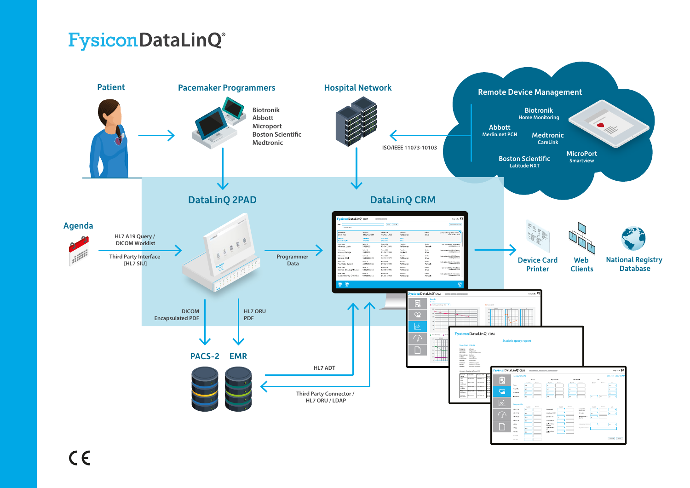## **FysiconDataLinQ®**